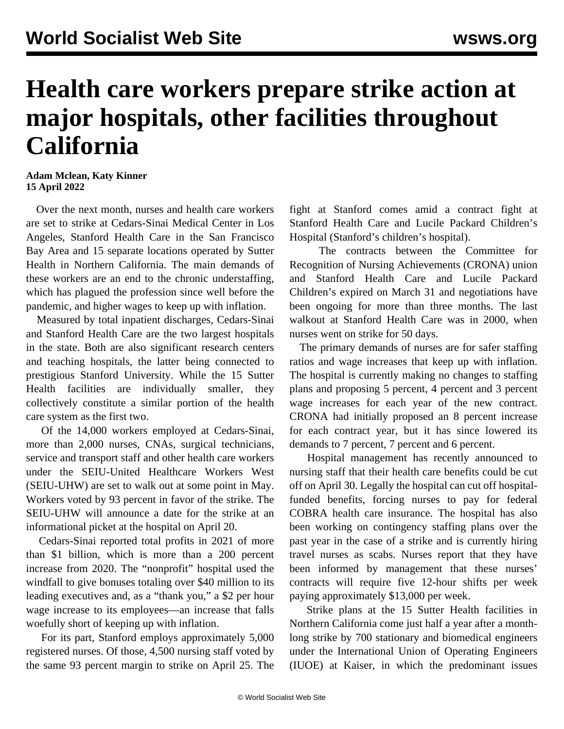## **Health care workers prepare strike action at major hospitals, other facilities throughout California**

## **Adam Mclean, Katy Kinner 15 April 2022**

 Over the next month, nurses and health care workers are set to strike at Cedars-Sinai Medical Center in Los Angeles, Stanford Health Care in the San Francisco Bay Area and 15 separate locations operated by Sutter Health in Northern California. The main demands of these workers are an end to the chronic understaffing, which has plagued the profession since well before the pandemic, and higher wages to keep up with inflation.

 Measured by total inpatient discharges, Cedars-Sinai and Stanford Health Care are the two largest hospitals in the state. Both are also significant research centers and teaching hospitals, the latter being connected to prestigious Stanford University. While the 15 Sutter Health facilities are individually smaller, they collectively constitute a similar portion of the health care system as the first two.

 Of the 14,000 workers employed at Cedars-Sinai, more than 2,000 nurses, CNAs, surgical technicians, service and transport staff and other health care workers under the SEIU-United Healthcare Workers West (SEIU-UHW) are set to walk out at some point in May. Workers voted by 93 percent in favor of the strike. The SEIU-UHW will announce a date for the strike at an informational picket at the hospital on April 20.

 Cedars-Sinai reported total profits in 2021 of more than \$1 billion, which is more than a 200 percent increase from 2020. The "nonprofit" hospital used the windfall to give bonuses totaling over \$40 million to its leading executives and, as a "thank you," a \$2 per hour wage increase to its employees—an increase that falls woefully short of keeping up with inflation.

 For its part, Stanford employs approximately 5,000 registered nurses. Of those, 4,500 nursing staff voted by the same 93 percent margin to strike on April 25. The

fight at Stanford comes amid a [contract fight](/en/articles/2022/04/04/stan-a04.html) at Stanford Health Care and Lucile Packard Children's Hospital (Stanford's children's hospital).

 The contracts between the Committee for Recognition of Nursing Achievements (CRONA) union and Stanford Health Care and Lucile Packard Children's expired on March 31 and negotiations have been ongoing for more than three months. The last walkout at Stanford Health Care was in 2000, when nurses went on strike for 50 days.

 The primary demands of nurses are for safer staffing ratios and wage increases that keep up with inflation. The hospital is currently making no changes to staffing plans and proposing 5 percent, 4 percent and 3 percent wage increases for each year of the new contract. CRONA had initially proposed an 8 percent increase for each contract year, but it has since lowered its demands to 7 percent, 7 percent and 6 percent.

 Hospital management has recently announced to nursing staff that their health care benefits could be cut off on April 30. Legally the hospital can cut off hospitalfunded benefits, forcing nurses to pay for federal COBRA health care insurance. The hospital has also been working on contingency staffing plans over the past year in the case of a strike and is currently hiring travel nurses as scabs. Nurses report that they have been informed by management that these nurses' contracts will require five 12-hour shifts per week paying approximately \$13,000 per week.

 Strike plans at the 15 Sutter Health facilities in Northern California come just half a year after a monthlong strike by 700 stationary and biomedical engineers under the International Union of Operating Engineers (IUOE) at Kaiser, in which the predominant issues